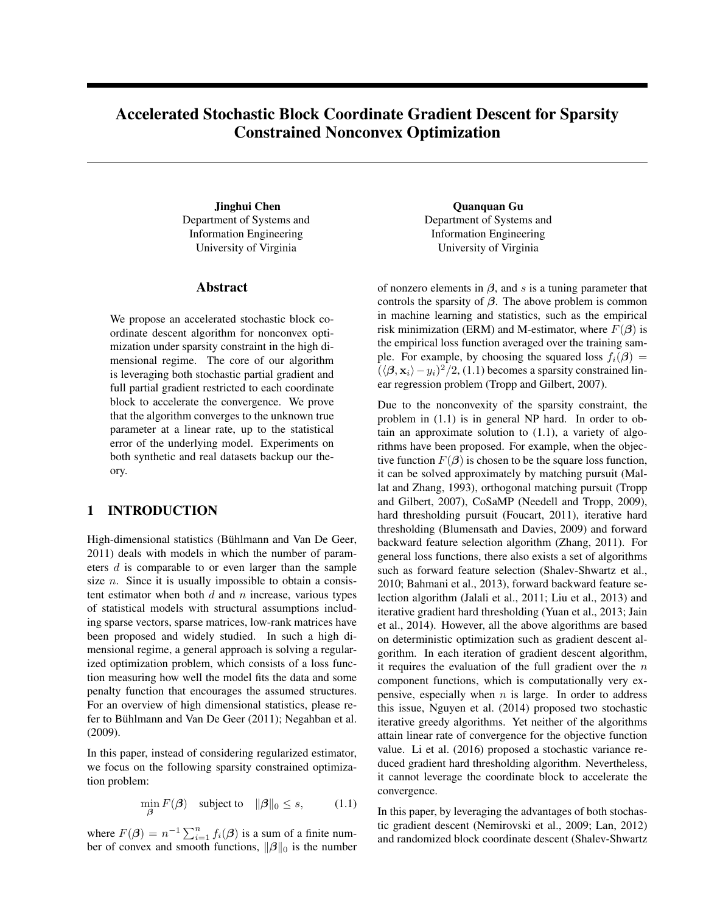# Accelerated Stochastic Block Coordinate Gradient Descent for Sparsity Constrained Nonconvex Optimization

Jinghui Chen Department of Systems and Information Engineering University of Virginia

## Abstract

We propose an accelerated stochastic block coordinate descent algorithm for nonconvex optimization under sparsity constraint in the high dimensional regime. The core of our algorithm is leveraging both stochastic partial gradient and full partial gradient restricted to each coordinate block to accelerate the convergence. We prove that the algorithm converges to the unknown true parameter at a linear rate, up to the statistical error of the underlying model. Experiments on both synthetic and real datasets backup our theory.

## 1 INTRODUCTION

High-dimensional statistics (Bühlmann and Van De Geer, 2011) deals with models in which the number of parameters d is comparable to or even larger than the sample size  $n$ . Since it is usually impossible to obtain a consistent estimator when both  $d$  and  $n$  increase, various types of statistical models with structural assumptions including sparse vectors, sparse matrices, low-rank matrices have been proposed and widely studied. In such a high dimensional regime, a general approach is solving a regularized optimization problem, which consists of a loss function measuring how well the model fits the data and some penalty function that encourages the assumed structures. For an overview of high dimensional statistics, please refer to Bühlmann and Van De Geer (2011); Negahban et al. (2009).

In this paper, instead of considering regularized estimator, we focus on the following sparsity constrained optimization problem:

$$
\min_{\beta} F(\beta) \quad \text{subject to} \quad \|\beta\|_0 \le s,\tag{1.1}
$$

where  $F(\beta) = n^{-1} \sum_{i=1}^{n} f_i(\beta)$  is a sum of a finite number of convex and smooth functions,  $\|\beta\|_0$  is the number

Quanquan Gu Department of Systems and Information Engineering University of Virginia

of nonzero elements in  $\beta$ , and s is a tuning parameter that controls the sparsity of  $\beta$ . The above problem is common in machine learning and statistics, such as the empirical risk minimization (ERM) and M-estimator, where  $F(\beta)$  is the empirical loss function averaged over the training sample. For example, by choosing the squared loss  $f_i(\beta) =$  $(\langle \beta, x_i \rangle - y_i)^2/2$ , (1.1) becomes a sparsity constrained linear regression problem (Tropp and Gilbert, 2007).

Due to the nonconvexity of the sparsity constraint, the problem in (1.1) is in general NP hard. In order to obtain an approximate solution to (1.1), a variety of algorithms have been proposed. For example, when the objective function  $F(\beta)$  is chosen to be the square loss function, it can be solved approximately by matching pursuit (Mallat and Zhang, 1993), orthogonal matching pursuit (Tropp and Gilbert, 2007), CoSaMP (Needell and Tropp, 2009), hard thresholding pursuit (Foucart, 2011), iterative hard thresholding (Blumensath and Davies, 2009) and forward backward feature selection algorithm (Zhang, 2011). For general loss functions, there also exists a set of algorithms such as forward feature selection (Shalev-Shwartz et al., 2010; Bahmani et al., 2013), forward backward feature selection algorithm (Jalali et al., 2011; Liu et al., 2013) and iterative gradient hard thresholding (Yuan et al., 2013; Jain et al., 2014). However, all the above algorithms are based on deterministic optimization such as gradient descent algorithm. In each iteration of gradient descent algorithm, it requires the evaluation of the full gradient over the  $n$ component functions, which is computationally very expensive, especially when  $n$  is large. In order to address this issue, Nguyen et al. (2014) proposed two stochastic iterative greedy algorithms. Yet neither of the algorithms attain linear rate of convergence for the objective function value. Li et al. (2016) proposed a stochastic variance reduced gradient hard thresholding algorithm. Nevertheless, it cannot leverage the coordinate block to accelerate the convergence.

In this paper, by leveraging the advantages of both stochastic gradient descent (Nemirovski et al., 2009; Lan, 2012) and randomized block coordinate descent (Shalev-Shwartz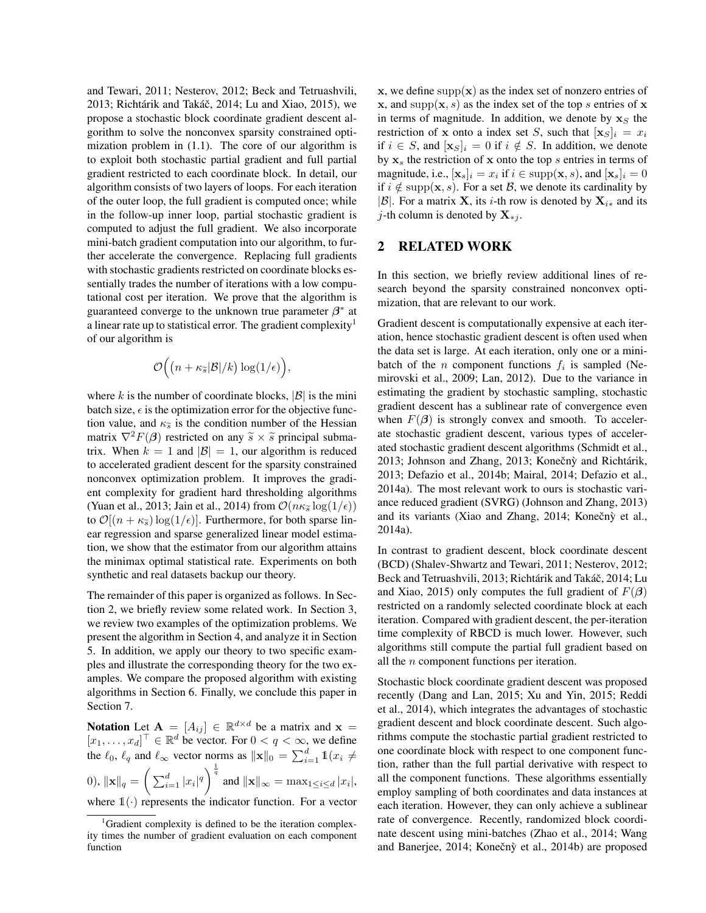and Tewari, 2011; Nesterov, 2012; Beck and Tetruashvili, 2013; Richtárik and Takáč, 2014; Lu and Xiao, 2015), we propose a stochastic block coordinate gradient descent algorithm to solve the nonconvex sparsity constrained optimization problem in (1.1). The core of our algorithm is to exploit both stochastic partial gradient and full partial gradient restricted to each coordinate block. In detail, our algorithm consists of two layers of loops. For each iteration of the outer loop, the full gradient is computed once; while in the follow-up inner loop, partial stochastic gradient is computed to adjust the full gradient. We also incorporate mini-batch gradient computation into our algorithm, to further accelerate the convergence. Replacing full gradients with stochastic gradients restricted on coordinate blocks essentially trades the number of iterations with a low computational cost per iteration. We prove that the algorithm is guaranteed converge to the unknown true parameter  $\beta^*$  at a linear rate up to statistical error. The gradient complexity<sup>1</sup> of our algorithm is

$$
\mathcal{O}\Big(\big(n+\kappa_{\widetilde{s}}|\mathcal{B}|/k\big)\log(1/\epsilon)\Big),
$$

where k is the number of coordinate blocks,  $|\mathcal{B}|$  is the mini batch size,  $\epsilon$  is the optimization error for the objective function value, and  $\kappa_{\tilde{s}}$  is the condition number of the Hessian matrix  $\nabla^2 F(\boldsymbol{\beta})$  restricted on any  $\tilde{s} \times \tilde{s}$  principal submatrix. When  $k = 1$  and  $|\mathcal{B}| = 1$ , our algorithm is reduced to accelerated gradient descent for the sparsity constrained nonconvex optimization problem. It improves the gradient complexity for gradient hard thresholding algorithms (Yuan et al., 2013; Jain et al., 2014) from  $\mathcal{O}(n\kappa_{\widetilde{\delta}}\log(1/\epsilon))$ to  $\mathcal{O}[(n + \kappa_{\widetilde{s}}) \log(1/\epsilon)]$ . Furthermore, for both sparse linear regression and sparse generalized linear model estimation, we show that the estimator from our algorithm attains the minimax optimal statistical rate. Experiments on both synthetic and real datasets backup our theory.

The remainder of this paper is organized as follows. In Section 2, we briefly review some related work. In Section 3, we review two examples of the optimization problems. We present the algorithm in Section 4, and analyze it in Section 5. In addition, we apply our theory to two specific examples and illustrate the corresponding theory for the two examples. We compare the proposed algorithm with existing algorithms in Section 6. Finally, we conclude this paper in Section 7.

**Notation** Let  $\mathbf{A} = [A_{ij}] \in \mathbb{R}^{d \times d}$  be a matrix and  $\mathbf{x} =$  $[x_1, \ldots, x_d]^\top \in \mathbb{R}^d$  be vector. For  $0 < q < \infty$ , we define the  $\ell_0$ ,  $\ell_q$  and  $\ell_{\infty}$  vector norms as  $\|\mathbf{x}\|_0 = \sum_{i=1}^d \mathbb{1}(x_i \neq$ 0),  $\|\mathbf{x}\|_q = \left(\sum_{i=1}^d |x_i|^q\right)^{\frac{1}{q}}$  and  $\|\mathbf{x}\|_{\infty} = \max_{1 \le i \le d} |x_i|$ , where  $\mathbb{1}(\cdot)$  represents the indicator function. For a vector

 $x$ , we define supp $(x)$  as the index set of nonzero entries of x, and supp $(x, s)$  as the index set of the top s entries of x in terms of magnitude. In addition, we denote by  $x_S$  the restriction of x onto a index set S, such that  $[\mathbf{x}_S]_i = x_i$ if  $i \in S$ , and  $[\mathbf{x}_S]_i = 0$  if  $i \notin S$ . In addition, we denote by  $x_s$  the restriction of x onto the top s entries in terms of magnitude, i.e.,  $[\mathbf{x}_s]_i = x_i$  if  $i \in \text{supp}(\mathbf{x}, s)$ , and  $[\mathbf{x}_s]_i = 0$ if  $i \notin \text{supp}(\mathbf{x}, s)$ . For a set B, we denote its cardinality by |B|. For a matrix **X**, its *i*-th row is denoted by  $X_{i*}$  and its j-th column is denoted by  $X_{*j}$ .

## 2 RELATED WORK

In this section, we briefly review additional lines of research beyond the sparsity constrained nonconvex optimization, that are relevant to our work.

Gradient descent is computationally expensive at each iteration, hence stochastic gradient descent is often used when the data set is large. At each iteration, only one or a minibatch of the *n* component functions  $f_i$  is sampled (Nemirovski et al., 2009; Lan, 2012). Due to the variance in estimating the gradient by stochastic sampling, stochastic gradient descent has a sublinear rate of convergence even when  $F(\beta)$  is strongly convex and smooth. To accelerate stochastic gradient descent, various types of accelerated stochastic gradient descent algorithms (Schmidt et al., 2013; Johnson and Zhang, 2013; Konečný and Richtárik, 2013; Defazio et al., 2014b; Mairal, 2014; Defazio et al., 2014a). The most relevant work to ours is stochastic variance reduced gradient (SVRG) (Johnson and Zhang, 2013) and its variants (Xiao and Zhang, 2014; Konečný et al., 2014a).

In contrast to gradient descent, block coordinate descent (BCD) (Shalev-Shwartz and Tewari, 2011; Nesterov, 2012; Beck and Tetruashvili, 2013; Richtárik and Takáč, 2014; Lu and Xiao, 2015) only computes the full gradient of  $F(\beta)$ restricted on a randomly selected coordinate block at each iteration. Compared with gradient descent, the per-iteration time complexity of RBCD is much lower. However, such algorithms still compute the partial full gradient based on all the n component functions per iteration.

Stochastic block coordinate gradient descent was proposed recently (Dang and Lan, 2015; Xu and Yin, 2015; Reddi et al., 2014), which integrates the advantages of stochastic gradient descent and block coordinate descent. Such algorithms compute the stochastic partial gradient restricted to one coordinate block with respect to one component function, rather than the full partial derivative with respect to all the component functions. These algorithms essentially employ sampling of both coordinates and data instances at each iteration. However, they can only achieve a sublinear rate of convergence. Recently, randomized block coordinate descent using mini-batches (Zhao et al., 2014; Wang and Banerjee, 2014; Konečnỳ et al., 2014b) are proposed

<sup>&</sup>lt;sup>1</sup>Gradient complexity is defined to be the iteration complexity times the number of gradient evaluation on each component function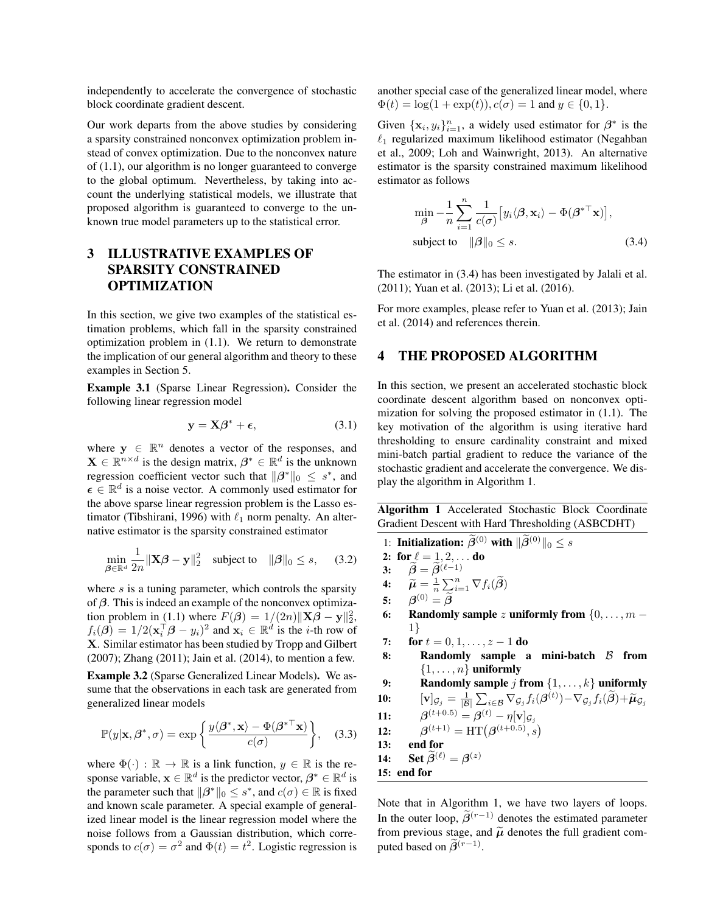independently to accelerate the convergence of stochastic block coordinate gradient descent.

Our work departs from the above studies by considering a sparsity constrained nonconvex optimization problem instead of convex optimization. Due to the nonconvex nature of (1.1), our algorithm is no longer guaranteed to converge to the global optimum. Nevertheless, by taking into account the underlying statistical models, we illustrate that proposed algorithm is guaranteed to converge to the unknown true model parameters up to the statistical error.

## 3 ILLUSTRATIVE EXAMPLES OF SPARSITY CONSTRAINED OPTIMIZATION

In this section, we give two examples of the statistical estimation problems, which fall in the sparsity constrained optimization problem in (1.1). We return to demonstrate the implication of our general algorithm and theory to these examples in Section 5.

Example 3.1 (Sparse Linear Regression). Consider the following linear regression model

$$
y = X\beta^* + \epsilon, \tag{3.1}
$$

where  $y \in \mathbb{R}^n$  denotes a vector of the responses, and  $\mathbf{X} \in \mathbb{R}^{n \times d}$  is the design matrix,  $\boldsymbol{\beta}^* \in \mathbb{R}^d$  is the unknown regression coefficient vector such that  $\|\beta^*\|_0 \leq s^*$ , and  $\epsilon \in \mathbb{R}^d$  is a noise vector. A commonly used estimator for the above sparse linear regression problem is the Lasso estimator (Tibshirani, 1996) with  $\ell_1$  norm penalty. An alternative estimator is the sparsity constrained estimator

$$
\min_{\boldsymbol{\beta} \in \mathbb{R}^d} \frac{1}{2n} \|\mathbf{X}\boldsymbol{\beta} - \mathbf{y}\|_2^2 \quad \text{subject to} \quad \|\boldsymbol{\beta}\|_0 \le s, \quad (3.2)
$$

where  $s$  is a tuning parameter, which controls the sparsity of  $\beta$ . This is indeed an example of the nonconvex optimization problem in (1.1) where  $F(\beta) = 1/(2n) ||\mathbf{X}\beta - \mathbf{y}||_2^2$ ,  $f_i(\boldsymbol{\beta}) = 1/2(\mathbf{x}_i^{\top} \boldsymbol{\beta} - y_i)^2$  and  $\mathbf{x}_i \in \mathbb{R}^d$  is the *i*-th row of X. Similar estimator has been studied by Tropp and Gilbert (2007); Zhang (2011); Jain et al. (2014), to mention a few.

Example 3.2 (Sparse Generalized Linear Models). We assume that the observations in each task are generated from generalized linear models

$$
\mathbb{P}(y|\mathbf{x}, \beta^*, \sigma) = \exp\left\{\frac{y\langle \beta^*, \mathbf{x} \rangle - \Phi(\beta^{*T}\mathbf{x})}{c(\sigma)}\right\}, \quad (3.3)
$$

where  $\Phi(\cdot) : \mathbb{R} \to \mathbb{R}$  is a link function,  $y \in \mathbb{R}$  is the response variable,  $\mathbf{x} \in \mathbb{R}^d$  is the predictor vector,  $\boldsymbol{\beta}^* \in \mathbb{R}^d$  is the parameter such that  $||\beta^*||_0 \leq s^*$ , and  $c(\sigma) \in \mathbb{R}$  is fixed and known scale parameter. A special example of generalized linear model is the linear regression model where the noise follows from a Gaussian distribution, which corresponds to  $c(\sigma) = \sigma^2$  and  $\Phi(t) = t^2$ . Logistic regression is

another special case of the generalized linear model, where  $\Phi(t) = \log(1 + \exp(t)), c(\sigma) = 1$  and  $y \in \{0, 1\}.$ 

Given  $\{x_i, y_i\}_{i=1}^n$ , a widely used estimator for  $\beta^*$  is the  $\ell_1$  regularized maximum likelihood estimator (Negahban et al., 2009; Loh and Wainwright, 2013). An alternative estimator is the sparsity constrained maximum likelihood estimator as follows

$$
\min_{\boldsymbol{\beta}} -\frac{1}{n} \sum_{i=1}^{n} \frac{1}{c(\sigma)} \left[ y_i \langle \boldsymbol{\beta}, \mathbf{x}_i \rangle - \Phi(\boldsymbol{\beta}^{*T} \mathbf{x}) \right],
$$
\n
$$
\text{subject to} \quad ||\boldsymbol{\beta}||_0 \le s. \tag{3.4}
$$

The estimator in (3.4) has been investigated by Jalali et al. (2011); Yuan et al. (2013); Li et al. (2016).

For more examples, please refer to Yuan et al. (2013); Jain et al. (2014) and references therein.

### 4 THE PROPOSED ALGORITHM

In this section, we present an accelerated stochastic block coordinate descent algorithm based on nonconvex optimization for solving the proposed estimator in (1.1). The key motivation of the algorithm is using iterative hard thresholding to ensure cardinality constraint and mixed mini-batch partial gradient to reduce the variance of the stochastic gradient and accelerate the convergence. We display the algorithm in Algorithm 1.

Algorithm 1 Accelerated Stochastic Block Coordinate Gradient Descent with Hard Thresholding (ASBCDHT)

1: Initialization:  $\widetilde{\beta}^{(0)}$  with  $\|\widetilde{\beta}^{(0)}\|_0 \leq s$ 2: for  $\ell = 1, 2, ...$  do 3:  $\widetilde{\beta} = \widetilde{\beta}^{(\ell-1)}$ <br>4:  $\widetilde{\mu} = \frac{1}{n} \sum_{i=1}^{n}$ 4:  $\widetilde{\mu} = \frac{1}{n} \sum_{i=1}^n \nabla f_i(\widetilde{\boldsymbol{\beta}})$ 5:  $\beta^{(0)} = \beta$ 6: Randomly sample z uniformly from  $\{0, \ldots, m - \}$ 1} 7: for  $t = 0, 1, ..., z - 1$  do 8: Randomly sample a mini-batch  $\beta$  from  $\{1, \ldots, n\}$  uniformly 9: Randomly sample *j* from  $\{1, \ldots, k\}$  uniformly 10:  $\begin{array}{ll} [\mathbf{v}]_{\mathcal{G}_j}=\frac{1}{|\mathcal{B}|}\sum_{i\in\mathcal{B}}\nabla_{\mathcal{G}_j}f_i(\boldsymbol{\beta}^{(t)})\!-\!\nabla_{\mathcal{G}_j}f_i(\tilde{\boldsymbol{\beta}})\!+\!\widetilde{\boldsymbol{\mu}}_{\mathcal{G}_j}\ \mathbf{11:} &\qquad \qquad \boldsymbol{\beta}^{(t+0.5)}=\boldsymbol{\beta}^{(t)}-\eta[\mathbf{v}]_{\mathcal{G}_j} \end{array}$ 11:  $12:$  $(t+1) = HT(\boldsymbol{\beta}^{(t+0.5)}, s)$ 13: end for 14: Set  $\widetilde{\beta}^{(\ell)} = \beta^{(z)}$ 15: end for

Note that in Algorithm 1, we have two layers of loops. In the outer loop,  $\widetilde{\beta}^{(r-1)}$  denotes the estimated parameter from previous stage, and  $\tilde{\mu}$  denotes the full gradient computed based on  $\widetilde{\beta}^{(r-1)}$ .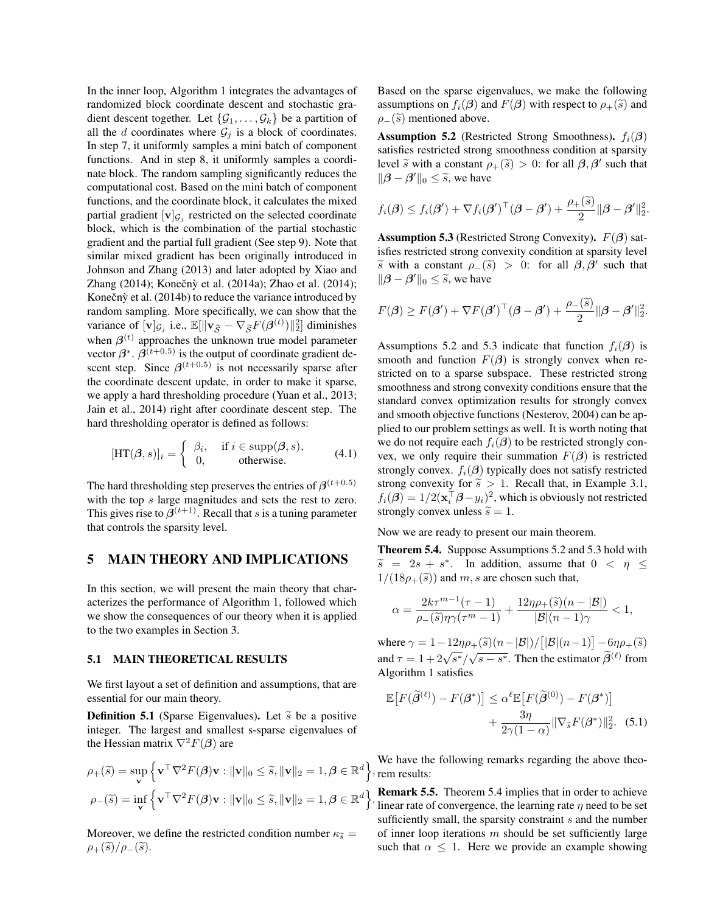In the inner loop, Algorithm 1 integrates the advantages of randomized block coordinate descent and stochastic gradient descent together. Let  $\{G_1, \ldots, G_k\}$  be a partition of all the d coordinates where  $\mathcal{G}_j$  is a block of coordinates. In step 7, it uniformly samples a mini batch of component functions. And in step 8, it uniformly samples a coordinate block. The random sampling significantly reduces the computational cost. Based on the mini batch of component functions, and the coordinate block, it calculates the mixed partial gradient  $[v]_{\mathcal{G}_j}$  restricted on the selected coordinate block, which is the combination of the partial stochastic gradient and the partial full gradient (See step 9). Note that similar mixed gradient has been originally introduced in Johnson and Zhang (2013) and later adopted by Xiao and Zhang (2014); Konečnỳ et al. (2014a); Zhao et al. (2014); Konečnỳ et al.  $(2014b)$  to reduce the variance introduced by random sampling. More specifically, we can show that the variance of  $[\mathbf{v}]_{\mathcal{G}_j}$  i.e.,  $\mathbb{E}[\|\mathbf{v}_{\widetilde{\mathcal{S}}} - \nabla_{\widetilde{\mathcal{S}}}F(\boldsymbol{\beta}^{(t)})\|_2^2]$  diminishes when  $\beta^{(t)}$  approaches the unknown true model parameter vector  $\beta^*$ .  $\beta^{(t+0.5)}$  is the output of coordinate gradient descent step. Since  $\beta^{(t+0.5)}$  is not necessarily sparse after the coordinate descent update, in order to make it sparse, we apply a hard thresholding procedure (Yuan et al., 2013; Jain et al., 2014) right after coordinate descent step. The hard thresholding operator is defined as follows:

$$
[\text{HT}(\beta, s)]_i = \begin{cases} \beta_i, & \text{if } i \in \text{supp}(\beta, s), \\ 0, & \text{otherwise.} \end{cases} (4.1)
$$

The hard thresholding step preserves the entries of  $\beta^{(t+0.5)}$ with the top s large magnitudes and sets the rest to zero. This gives rise to  $\beta^{(t+1)}$ . Recall that s is a tuning parameter that controls the sparsity level.

### 5 MAIN THEORY AND IMPLICATIONS

In this section, we will present the main theory that characterizes the performance of Algorithm 1, followed which we show the consequences of our theory when it is applied to the two examples in Section 3.

#### 5.1 MAIN THEORETICAL RESULTS

We first layout a set of definition and assumptions, that are essential for our main theory.

**Definition 5.1** (Sparse Eigenvalues). Let  $\tilde{s}$  be a positive integer. The largest and smallest s-sparse eigenvalues of the Hessian matrix  $\nabla^2 F(\boldsymbol{\beta})$  are

$$
\rho_{+}(\widetilde{s}) = \sup_{\mathbf{v}} \left\{ \mathbf{v}^{\top} \nabla^{2} F(\boldsymbol{\beta}) \mathbf{v} : \|\mathbf{v}\|_{0} \leq \widetilde{s}, \|\mathbf{v}\|_{2} = 1, \boldsymbol{\beta} \in \mathbb{R}^{d} \right\}
$$

$$
\rho_{-}(\widetilde{s}) = \inf_{\mathbf{v}} \left\{ \mathbf{v}^{\top} \nabla^{2} F(\boldsymbol{\beta}) \mathbf{v} : \|\mathbf{v}\|_{0} \leq \widetilde{s}, \|\mathbf{v}\|_{2} = 1, \boldsymbol{\beta} \in \mathbb{R}^{d} \right\}
$$

Moreover, we define the restricted condition number  $\kappa_{\tilde{s}} =$  $\rho_{+}(\widetilde{s})/\rho_{-}(\widetilde{s}).$ 

Based on the sparse eigenvalues, we make the following assumptions on  $f_i(\boldsymbol{\beta})$  and  $F(\boldsymbol{\beta})$  with respect to  $\rho_+(\tilde{s})$  and  $\rho_-(\tilde{s})$  mentioned above.

**Assumption 5.2** (Restricted Strong Smoothness).  $f_i(\beta)$ satisfies restricted strong smoothness condition at sparsity level  $\tilde{s}$  with a constant  $\rho_+(\tilde{s}) > 0$ : for all  $\beta, \beta'$  such that  $\|\boldsymbol{\beta} - \boldsymbol{\beta}'\|_0 \leq \tilde{s}$ , we have

$$
f_i(\boldsymbol{\beta}) \leq f_i(\boldsymbol{\beta}') + \nabla f_i(\boldsymbol{\beta}')^\top (\boldsymbol{\beta} - \boldsymbol{\beta}') + \frac{\rho_+(\widetilde{s})}{2} \|\boldsymbol{\beta} - \boldsymbol{\beta}'\|_2^2.
$$

**Assumption 5.3** (Restricted Strong Convexity).  $F(\beta)$  satisfies restricted strong convexity condition at sparsity level  $\frac{\partial \widetilde{s}}{\partial \widetilde{b}}$  with a constant  $\rho_-(\widetilde{s}) > 0$ : for all  $\beta, \beta'$  such that  $\|\boldsymbol{\beta} - \boldsymbol{\beta}'\|_0 \leq \tilde{s}$ , we have

$$
F(\boldsymbol{\beta}) \ge F(\boldsymbol{\beta}') + \nabla F(\boldsymbol{\beta}')^\top (\boldsymbol{\beta} - \boldsymbol{\beta}') + \frac{\rho_-(\widetilde{s})}{2} \|\boldsymbol{\beta} - \boldsymbol{\beta}'\|_2^2.
$$

Assumptions 5.2 and 5.3 indicate that function  $f_i(\beta)$  is smooth and function  $F(\beta)$  is strongly convex when restricted on to a sparse subspace. These restricted strong smoothness and strong convexity conditions ensure that the standard convex optimization results for strongly convex and smooth objective functions (Nesterov, 2004) can be applied to our problem settings as well. It is worth noting that we do not require each  $f_i(\boldsymbol{\beta})$  to be restricted strongly convex, we only require their summation  $F(\beta)$  is restricted strongly convex.  $f_i(\boldsymbol{\beta})$  typically does not satisfy restricted strong convexity for  $\tilde{s} > 1$ . Recall that, in Example 3.1,  $f_i(\boldsymbol{\beta}) = 1/2(\mathbf{x}_i^{\top} \boldsymbol{\beta} - y_i)^2$ , which is obviously not restricted strongly convex unless  $\tilde{s} = 1$ .

Now we are ready to present our main theorem.

Theorem 5.4. Suppose Assumptions 5.2 and 5.3 hold with  $\widetilde{s} = 2s + s^*$ . In addition, assume that  $0 < \eta \le$ <br> $\frac{1}{12} s_0 (\widetilde{s})$  and  $m$  e are chosen such that  $1/(18\rho_{+}(\tilde{s}))$  and m, s are chosen such that,

$$
\alpha = \frac{2k\tau^{m-1}(\tau - 1)}{\rho_{-}(\widetilde{s})\eta\gamma(\tau^m - 1)} + \frac{12\eta\rho_{+}(\widetilde{s})(n - |\mathcal{B}|)}{|\mathcal{B}|(n - 1)\gamma} < 1,
$$

where  $\gamma = 1 - 12\eta \rho_+(\tilde{s}) (n-|\mathcal{B}|)/[|\mathcal{B}|(n-1)] - 6\eta \rho_+(\tilde{s})$ and  $\tau = 1 + 2\sqrt{s^*}/\sqrt{s - s^*}$ . Then the estimator  $\tilde{\beta}^{(\ell)}$  from Algorithm 1 satisfies

$$
\mathbb{E}\big[F(\widetilde{\beta}^{(\ell)}) - F(\beta^*)\big] \leq \alpha^{\ell} \mathbb{E}\big[F(\widetilde{\beta}^{(0)}) - F(\beta^*)\big] + \frac{3\eta}{2\gamma(1-\alpha)} \|\nabla_{\widetilde{s}}F(\beta^*)\|_2^2. \tag{5.1}
$$

 $\}$ , rem results: We have the following remarks regarding the above theo-

The linear rate of convergence, the learning rate  $\eta$  need to be set Remark 5.5. Theorem 5.4 implies that in order to achieve sufficiently small, the sparsity constraint s and the number of inner loop iterations  $m$  should be set sufficiently large such that  $\alpha \leq 1$ . Here we provide an example showing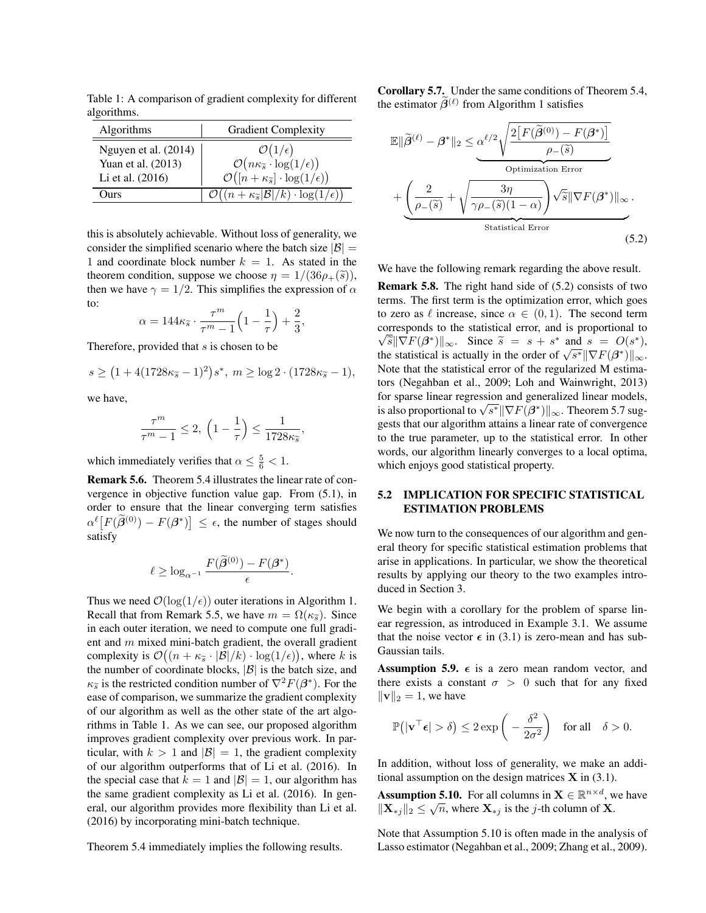Table 1: A comparison of gradient complexity for different algorithms.

| Algorithms           | <b>Gradient Complexity</b>                                                                                                          |
|----------------------|-------------------------------------------------------------------------------------------------------------------------------------|
| Nguyen et al. (2014) | $\mathcal{O}(1/\epsilon)$                                                                                                           |
| Yuan et al. (2013)   |                                                                                                                                     |
| Li et al. (2016)     | $\mathcal{O}(n\kappa_{\widetilde{s}} \cdot \log(1/\epsilon))$<br>$\mathcal{O}([n + \kappa_{\widetilde{s}}] \cdot \log(1/\epsilon))$ |
| ) <sub>11rs</sub>    | $\mathcal{O}((n + \kappa_{\widetilde{s}} \mathcal{B} /k) \cdot \log(1/\epsilon))$                                                   |
|                      |                                                                                                                                     |

this is absolutely achievable. Without loss of generality, we consider the simplified scenario where the batch size  $|\mathcal{B}| =$ 1 and coordinate block number  $k = 1$ . As stated in the theorem condition, suppose we choose  $\eta = 1/(36\rho_+(\tilde{s}))$ , then we have  $\gamma = 1/2$ . This simplifies the expression of  $\alpha$ to:

$$
\alpha = 144 \kappa_{\widetilde s} \cdot \frac{\tau^m}{\tau^m-1} \Big(1-\frac{1}{\tau}\Big) + \frac{2}{3},
$$

Therefore, provided that s is chosen to be

$$
s \ge (1 + 4(1728\kappa_{\tilde{s}} - 1)^2)s^*, \ m \ge \log 2 \cdot (1728\kappa_{\tilde{s}} - 1),
$$

we have,

$$
\frac{\tau^m}{\tau^m - 1} \le 2, \ \left(1 - \frac{1}{\tau}\right) \le \frac{1}{1728\kappa_{\tilde{s}}},
$$

which immediately verifies that  $\alpha \leq \frac{5}{6} < 1$ .

Remark 5.6. Theorem 5.4 illustrates the linear rate of convergence in objective function value gap. From (5.1), in order to ensure that the linear converging term satisfies  $\alpha^{\ell} \left[ F(\tilde{\beta}^{(0)}) - F(\beta^*) \right] \leq \epsilon$ , the number of stages should satisfy

$$
\ell \geq \log_{\alpha^{-1}} \frac{F(\widetilde{\boldsymbol{\beta}}^{(0)}) - F(\boldsymbol{\beta}^*)}{\epsilon}.
$$

Thus we need  $\mathcal{O}(\log(1/\epsilon))$  outer iterations in Algorithm 1. Recall that from Remark 5.5, we have  $m = \Omega(\kappa_{\widetilde{\delta}})$ . Since in each outer iteration, we need to compute one full gradient and  $m$  mixed mini-batch gradient, the overall gradient complexity is  $\mathcal{O}((n + \kappa_{\tilde{s}} \cdot |\mathcal{B}|/k) \cdot \log(1/\epsilon))$ , where k is the number of coordinate blocks,  $|\mathcal{B}|$  is the batch size, and  $\kappa_{\widetilde{\mathcal{S}}}$  is the restricted condition number of  $\nabla^2 F(\beta^*)$ . For the ease of comparison, we summarize the gradient complexity of our algorithm as well as the other state of the art algorithms in Table 1. As we can see, our proposed algorithm improves gradient complexity over previous work. In particular, with  $k > 1$  and  $|\mathcal{B}| = 1$ , the gradient complexity of our algorithm outperforms that of Li et al. (2016). In the special case that  $k = 1$  and  $|\mathcal{B}| = 1$ , our algorithm has the same gradient complexity as Li et al. (2016). In general, our algorithm provides more flexibility than Li et al. (2016) by incorporating mini-batch technique.

Theorem 5.4 immediately implies the following results.

Corollary 5.7. Under the same conditions of Theorem 5.4, the estimator  $\hat{\beta}^{(\ell)}$  from Algorithm 1 satisfies

$$
\mathbb{E} \|\tilde{\beta}^{(\ell)} - \beta^* \|_2 \leq \frac{\alpha^{\ell/2} \sqrt{\frac{2 \left[ F(\tilde{\beta}^{(0)}) - F(\beta^*) \right]}{\rho_{-}(\tilde{s})}}}{\text{Optimization Error}}
$$

$$
+ \underbrace{\left( \frac{2}{\rho_{-}(\tilde{s})} + \sqrt{\frac{3\eta}{\gamma \rho_{-}(\tilde{s})(1-\alpha)}} \right)}_{\text{Statistical Error}} \sqrt{\tilde{s}} \|\nabla F(\beta^*) \|_{\infty}.
$$
(5.2)

We have the following remark regarding the above result.

Remark 5.8. The right hand side of (5.2) consists of two terms. The first term is the optimization error, which goes to zero as  $\ell$  increase, since  $\alpha \in (0, 1)$ . The second term corresponds to the statistical error, and is proportional to √  $\widetilde{\delta}$   $\|\nabla F(\beta^*)\|_{\infty}$ . Since  $\widetilde{s} = s + s^*$  and  $s = O(s^*)$ ,<br>estimating is actually in the order of  $\sqrt{s^*} \|\nabla F(\beta^*)\|$  $\|\nabla F(\beta^*)\|_{\infty}$ . Since  $s = s + s'$  and  $s = O(s')$ ,<br>the statistical is actually in the order of  $\sqrt{s^*} \|\nabla F(\beta^*)\|_{\infty}$ . Note that the statistical error of the regularized M estimators (Negahban et al., 2009; Loh and Wainwright, 2013) for sparse linear regression and generalized linear models, for sparse in ear regression and generalized inear models,<br>is also proportional to  $\sqrt{s^*} \|\nabla F(\beta^*)\|_{\infty}$ . Theorem 5.7 suggests that our algorithm attains a linear rate of convergence to the true parameter, up to the statistical error. In other words, our algorithm linearly converges to a local optima, which enjoys good statistical property.

### 5.2 IMPLICATION FOR SPECIFIC STATISTICAL ESTIMATION PROBLEMS

We now turn to the consequences of our algorithm and general theory for specific statistical estimation problems that arise in applications. In particular, we show the theoretical results by applying our theory to the two examples introduced in Section 3.

We begin with a corollary for the problem of sparse linear regression, as introduced in Example 3.1. We assume that the noise vector  $\epsilon$  in (3.1) is zero-mean and has sub-Gaussian tails.

**Assumption 5.9.**  $\epsilon$  is a zero mean random vector, and there exists a constant  $\sigma > 0$  such that for any fixed  $\|\mathbf{v}\|_2 = 1$ , we have

$$
\mathbb{P}(|\mathbf{v}^\top \boldsymbol{\epsilon}| > \delta) \le 2 \exp\left(-\frac{\delta^2}{2\sigma^2}\right) \quad \text{for all} \quad \delta > 0.
$$

In addition, without loss of generality, we make an additional assumption on the design matrices  $X$  in (3.1).

Assumption 5.10. For all columns in  $X \in \mathbb{R}^{n \times d}$ , we have  $||\mathbf{X}_{*j}||_2 \leq \sqrt{n}$ , where  $\mathbf{X}_{*j}$  is the j-th column of X.

Note that Assumption 5.10 is often made in the analysis of Lasso estimator (Negahban et al., 2009; Zhang et al., 2009).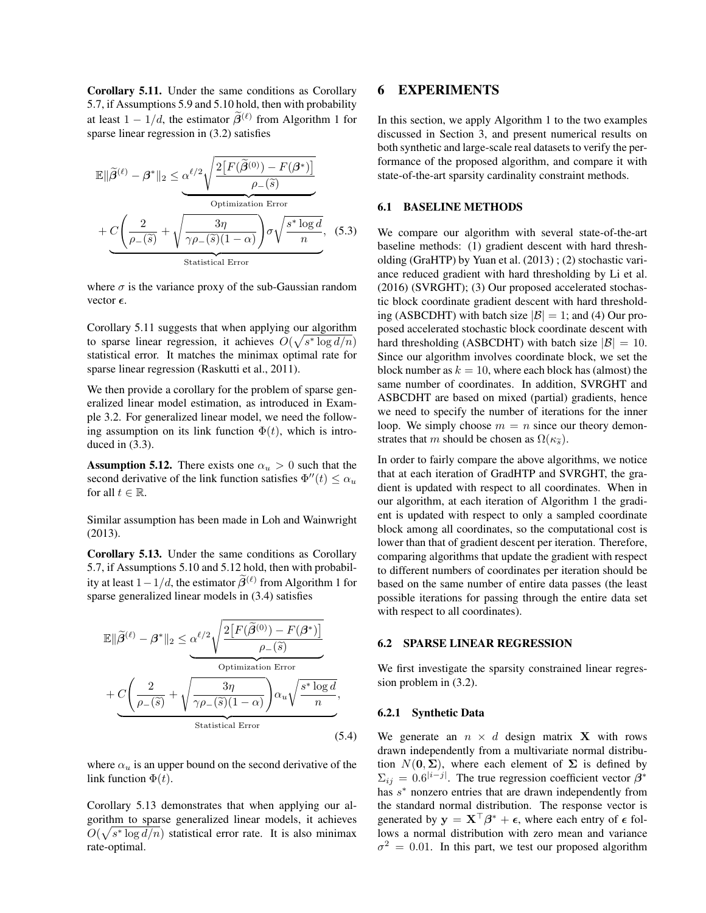Corollary 5.11. Under the same conditions as Corollary 5.7, if Assumptions 5.9 and 5.10 hold, then with probability at least  $1 - 1/d$ , the estimator  $\tilde{\beta}^{(\ell)}$  from Algorithm 1 for sparse linear regression in (3.2) satisfies

$$
\mathbb{E} \|\widetilde{\beta}^{(\ell)} - \beta^* \|_2 \leq \underbrace{\alpha^{\ell/2} \sqrt{\frac{2 \left[ F(\widetilde{\beta}^{(0)}) - F(\beta^*) \right]}{\rho_{-}(\widetilde{s})}}}_{\text{Optimization Error}}
$$
\n
$$
+ \underbrace{C \left( \frac{2}{\rho_{-}(\widetilde{s})} + \sqrt{\frac{3\eta}{\gamma \rho_{-}(\widetilde{s})(1-\alpha)}} \right) \sigma \sqrt{\frac{s^* \log d}{n}}}_{\text{Statistical Error}}, \quad (5.3)
$$

where  $\sigma$  is the variance proxy of the sub-Gaussian random vector  $\epsilon$ .

Corollary 5.11 suggests that when applying our algorithm to sparse linear regression, it achieves  $O(\sqrt{s^* \log d/n})$ statistical error. It matches the minimax optimal rate for sparse linear regression (Raskutti et al., 2011).

We then provide a corollary for the problem of sparse generalized linear model estimation, as introduced in Example 3.2. For generalized linear model, we need the following assumption on its link function  $\Phi(t)$ , which is introduced in (3.3).

**Assumption 5.12.** There exists one  $\alpha_u > 0$  such that the second derivative of the link function satisfies  $\Phi''(t) \leq \alpha_u$ for all  $t \in \mathbb{R}$ .

Similar assumption has been made in Loh and Wainwright (2013).

Corollary 5.13. Under the same conditions as Corollary 5.7, if Assumptions 5.10 and 5.12 hold, then with probability at least  $1 - 1/d$ , the estimator  $\hat{\beta}^{(\ell)}$  from Algorithm 1 for sparse generalized linear models in (3.4) satisfies

$$
\mathbb{E} \|\widetilde{\beta}^{(\ell)} - \beta^* \|_2 \leq \underbrace{\alpha^{\ell/2} \sqrt{\frac{2 \left[ F(\widetilde{\beta}^{(0)}) - F(\beta^*) \right]}{\rho_{-}(\widetilde{s})}}}_{\text{Optimization Error}}
$$
\n
$$
+ \underbrace{C \left( \frac{2}{\rho_{-}(\widetilde{s})} + \sqrt{\frac{3\eta}{\gamma \rho_{-}(\widetilde{s})(1-\alpha)}} \right) \alpha_u \sqrt{\frac{s^* \log d}{n}},}_{\text{Statistical Error}}
$$
\n(5.4)

where  $\alpha_u$  is an upper bound on the second derivative of the link function  $\Phi(t)$ .

Corollary 5.13 demonstrates that when applying our algorithm to sparse generalized linear models, it achieves  $O(\sqrt{s^* \log d/n})$  statistical error rate. It is also minimax rate-optimal.

## 6 EXPERIMENTS

In this section, we apply Algorithm 1 to the two examples discussed in Section 3, and present numerical results on both synthetic and large-scale real datasets to verify the performance of the proposed algorithm, and compare it with state-of-the-art sparsity cardinality constraint methods.

#### 6.1 BASELINE METHODS

We compare our algorithm with several state-of-the-art baseline methods: (1) gradient descent with hard thresholding (GraHTP) by Yuan et al. (2013) ; (2) stochastic variance reduced gradient with hard thresholding by Li et al. (2016) (SVRGHT); (3) Our proposed accelerated stochastic block coordinate gradient descent with hard thresholding (ASBCDHT) with batch size  $|\mathcal{B}| = 1$ ; and (4) Our proposed accelerated stochastic block coordinate descent with hard thresholding (ASBCDHT) with batch size  $|\mathcal{B}| = 10$ . Since our algorithm involves coordinate block, we set the block number as  $k = 10$ , where each block has (almost) the same number of coordinates. In addition, SVRGHT and ASBCDHT are based on mixed (partial) gradients, hence we need to specify the number of iterations for the inner loop. We simply choose  $m = n$  since our theory demonstrates that m should be chosen as  $\Omega(\kappa_{\widetilde{\delta}})$ .

In order to fairly compare the above algorithms, we notice that at each iteration of GradHTP and SVRGHT, the gradient is updated with respect to all coordinates. When in our algorithm, at each iteration of Algorithm 1 the gradient is updated with respect to only a sampled coordinate block among all coordinates, so the computational cost is lower than that of gradient descent per iteration. Therefore, comparing algorithms that update the gradient with respect to different numbers of coordinates per iteration should be based on the same number of entire data passes (the least possible iterations for passing through the entire data set with respect to all coordinates).

#### 6.2 SPARSE LINEAR REGRESSION

We first investigate the sparsity constrained linear regression problem in (3.2).

#### 6.2.1 Synthetic Data

We generate an  $n \times d$  design matrix **X** with rows drawn independently from a multivariate normal distribution  $N(0, \Sigma)$ , where each element of  $\Sigma$  is defined by  $\Sigma_{ij} = 0.6^{|i-j|}$ . The true regression coefficient vector  $\beta^*$ has  $s^*$  nonzero entries that are drawn independently from the standard normal distribution. The response vector is generated by  $y = \mathbf{X}^\top \boldsymbol{\beta}^* + \boldsymbol{\epsilon}$ , where each entry of  $\boldsymbol{\epsilon}$  follows a normal distribution with zero mean and variance  $\sigma^2 = 0.01$ . In this part, we test our proposed algorithm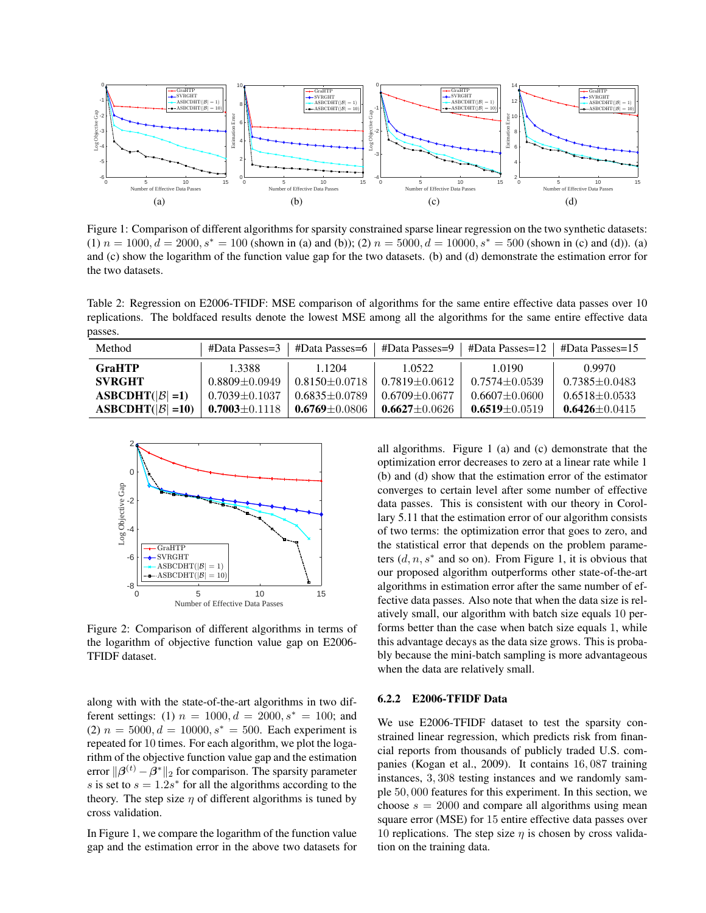

Figure 1: Comparison of different algorithms for sparsity constrained sparse linear regression on the two synthetic datasets: (1)  $n = 1000$ ,  $d = 2000$ ,  $s<sup>*</sup> = 100$  (shown in (a) and (b)); (2)  $n = 5000$ ,  $d = 10000$ ,  $s<sup>*</sup> = 500$  (shown in (c) and (d)). (a) and (c) show the logarithm of the function value gap for the two datasets. (b) and (d) demonstrate the estimation error for the two datasets.

Table 2: Regression on E2006-TFIDF: MSE comparison of algorithms for the same entire effective data passes over 10 replications. The boldfaced results denote the lowest MSE among all the algorithms for the same entire effective data passes.

| Method                      | #Data Passes=3      | #Data Passes=6      | #Data Passes=9      | #Data Passes= $12 \pm 4$ Data Passes= $15$ |                     |
|-----------------------------|---------------------|---------------------|---------------------|--------------------------------------------|---------------------|
| <b>GraHTP</b>               | 1.3388              | 1.1204              | 1.0522              | 1.0190                                     | 0.9970              |
| <b>SVRGHT</b>               | $0.8809 + 0.0949$   | $0.8150 + 0.0718$   | $0.7819 + 0.0612$   | $0.7574 + 0.0539$                          | $0.7385 + 0.0483$   |
| $ASBCDHT( \mathcal{B} =1)$  | $0.7039 \pm 0.1037$ | $0.6835 + 0.0789$   | $0.6709 + 0.0677$   | $0.6607 + 0.0600$                          | $0.6518 + 0.0533$   |
| $ASBCDHT( \mathcal{B} =10)$ | $0.7003 \pm 0.1118$ | $0.6769 \pm 0.0806$ | $0.6627 \pm 0.0626$ | $0.6519 \pm 0.0519$                        | $0.6426 \pm 0.0415$ |



Figure 2: Comparison of different algorithms in terms of the logarithm of objective function value gap on E2006- TFIDF dataset.

along with with the state-of-the-art algorithms in two different settings: (1)  $n = 1000, d = 2000, s^* = 100$ ; and (2)  $n = 5000, d = 10000, s^* = 500$ . Each experiment is repeated for 10 times. For each algorithm, we plot the logarithm of the objective function value gap and the estimation error  $\|\boldsymbol{\beta}^{(t)} - \boldsymbol{\beta}^*\|_2$  for comparison. The sparsity parameter s is set to  $s = 1.2s^*$  for all the algorithms according to the theory. The step size  $\eta$  of different algorithms is tuned by cross validation.

In Figure 1, we compare the logarithm of the function value gap and the estimation error in the above two datasets for

all algorithms. Figure 1 (a) and (c) demonstrate that the optimization error decreases to zero at a linear rate while 1 (b) and (d) show that the estimation error of the estimator converges to certain level after some number of effective data passes. This is consistent with our theory in Corollary 5.11 that the estimation error of our algorithm consists of two terms: the optimization error that goes to zero, and the statistical error that depends on the problem parameters  $(d, n, s^*$  and so on). From Figure 1, it is obvious that our proposed algorithm outperforms other state-of-the-art algorithms in estimation error after the same number of effective data passes. Also note that when the data size is relatively small, our algorithm with batch size equals 10 performs better than the case when batch size equals 1, while this advantage decays as the data size grows. This is probably because the mini-batch sampling is more advantageous when the data are relatively small.

### 6.2.2 E2006-TFIDF Data

We use E2006-TFIDF dataset to test the sparsity constrained linear regression, which predicts risk from financial reports from thousands of publicly traded U.S. companies (Kogan et al., 2009). It contains 16, 087 training instances, 3, 308 testing instances and we randomly sample 50, 000 features for this experiment. In this section, we choose  $s = 2000$  and compare all algorithms using mean square error (MSE) for 15 entire effective data passes over 10 replications. The step size  $\eta$  is chosen by cross validation on the training data.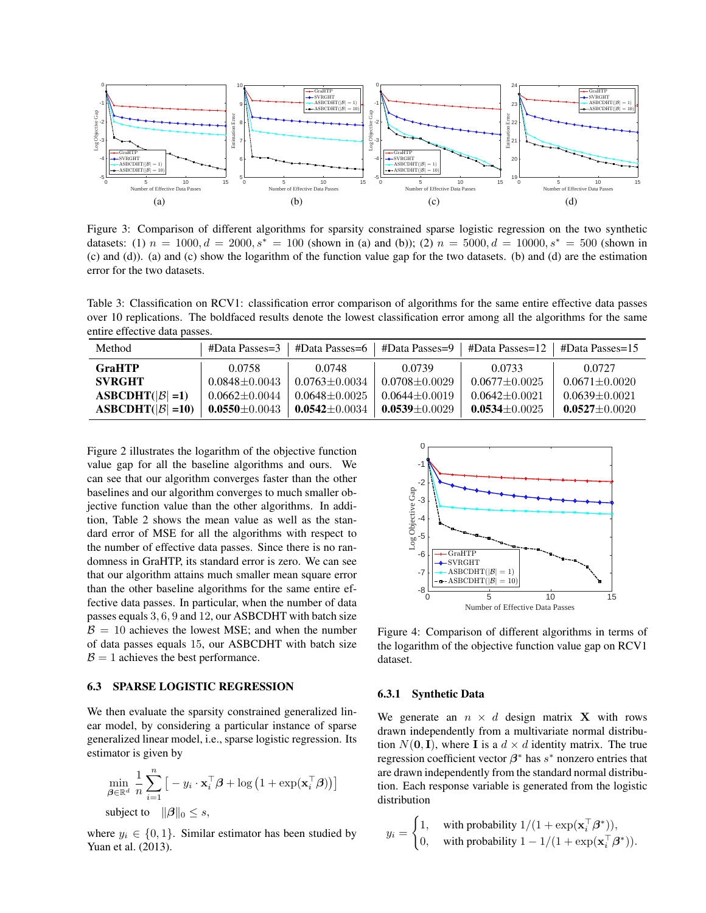

Figure 3: Comparison of different algorithms for sparsity constrained sparse logistic regression on the two synthetic datasets: (1)  $n = 1000, d = 2000, s^* = 100$  (shown in (a) and (b)); (2)  $n = 5000, d = 10000, s^* = 500$  (shown in (c) and (d)). (a) and (c) show the logarithm of the function value gap for the two datasets. (b) and (d) are the estimation error for the two datasets.

Table 3: Classification on RCV1: classification error comparison of algorithms for the same entire effective data passes over 10 replications. The boldfaced results denote the lowest classification error among all the algorithms for the same entire effective data passes.

| Method                      | #Data Passes=3      | #Data Passes=6      |                   | #Data Passes=9   #Data Passes=12   #Data Passes=15 |                     |
|-----------------------------|---------------------|---------------------|-------------------|----------------------------------------------------|---------------------|
| <b>GraHTP</b>               | 0.0758              | 0.0748              | 0.0739            | 0.0733                                             | 0.0727              |
| <b>SVRGHT</b>               | $0.0848 + 0.0043$   | $0.0763 + 0.0034$   | $0.0708 + 0.0029$ | $0.0677 + 0.0025$                                  | $0.0671 + 0.0020$   |
| $ASBCDHT( \beta =1)$        | $0.0662 + 0.0044$   | $0.0648 + 0.0025$   | $0.0644 + 0.0019$ | $0.0642 + 0.0021$                                  | $0.0639 + 0.0021$   |
| $ASBCDHT( \mathcal{B} =10)$ | 0.0550 $\pm$ 0.0043 | 0.0542 $\pm$ 0.0034 | $0.0539 + 0.0029$ | $0.0534 \pm 0.0025$                                | $0.0527 \pm 0.0020$ |

Figure 2 illustrates the logarithm of the objective function value gap for all the baseline algorithms and ours. We can see that our algorithm converges faster than the other baselines and our algorithm converges to much smaller objective function value than the other algorithms. In addition, Table 2 shows the mean value as well as the standard error of MSE for all the algorithms with respect to the number of effective data passes. Since there is no randomness in GraHTP, its standard error is zero. We can see that our algorithm attains much smaller mean square error than the other baseline algorithms for the same entire effective data passes. In particular, when the number of data passes equals 3, 6, 9 and 12, our ASBCDHT with batch size  $\beta = 10$  achieves the lowest MSE; and when the number of data passes equals 15, our ASBCDHT with batch size  $\mathcal{B} = 1$  achieves the best performance.

#### 6.3 SPARSE LOGISTIC REGRESSION

We then evaluate the sparsity constrained generalized linear model, by considering a particular instance of sparse generalized linear model, i.e., sparse logistic regression. Its estimator is given by

$$
\min_{\boldsymbol{\beta} \in \mathbb{R}^d} \frac{1}{n} \sum_{i=1}^n \left[ -y_i \cdot \mathbf{x}_i^\top \boldsymbol{\beta} + \log \left( 1 + \exp(\mathbf{x}_i^\top \boldsymbol{\beta}) \right) \right]
$$
\nsubject to 
$$
\|\boldsymbol{\beta}\|_0 \leq s
$$
,

where  $y_i \in \{0, 1\}$ . Similar estimator has been studied by Yuan et al. (2013).



Figure 4: Comparison of different algorithms in terms of the logarithm of the objective function value gap on RCV1 dataset.

#### 6.3.1 Synthetic Data

We generate an  $n \times d$  design matrix **X** with rows drawn independently from a multivariate normal distribution  $N(0, I)$ , where I is a  $d \times d$  identity matrix. The true regression coefficient vector  $\beta^*$  has  $s^*$  nonzero entries that are drawn independently from the standard normal distribution. Each response variable is generated from the logistic distribution

$$
y_i = \begin{cases} 1, & \text{with probability } 1/(1 + \exp(\mathbf{x}_i^\top \boldsymbol{\beta}^*)), \\ 0, & \text{with probability } 1 - 1/(1 + \exp(\mathbf{x}_i^\top \boldsymbol{\beta}^*)). \end{cases}
$$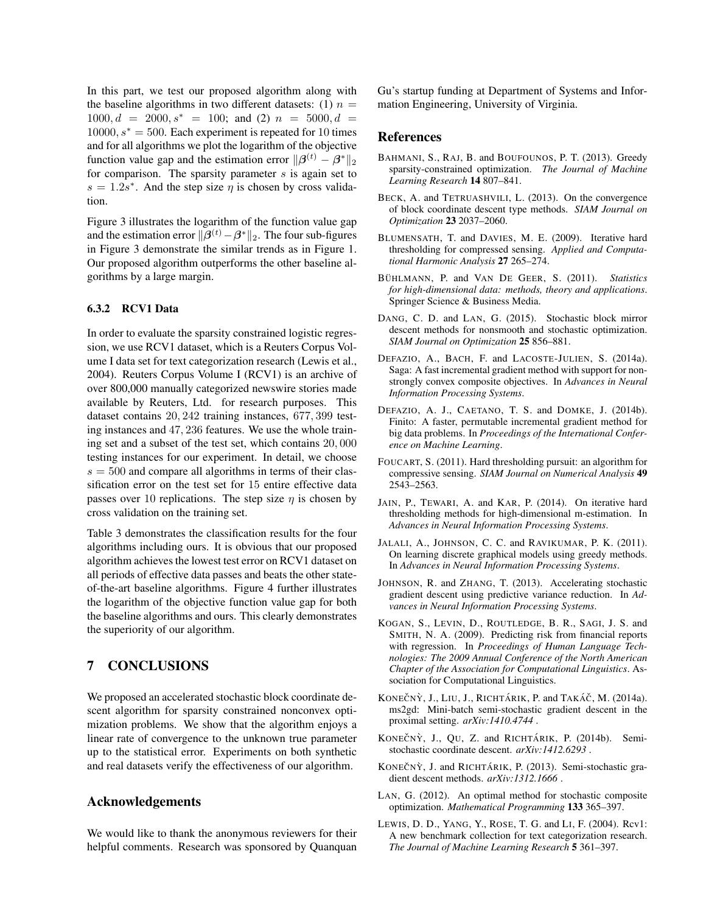In this part, we test our proposed algorithm along with the baseline algorithms in two different datasets: (1)  $n =$  $1000, d = 2000, s^* = 100$ ; and (2)  $n = 5000, d =$  $10000, s^* = 500$ . Each experiment is repeated for 10 times and for all algorithms we plot the logarithm of the objective function value gap and the estimation error  $\|\boldsymbol{\beta}^{(t)} - \boldsymbol{\beta}^*\|_2$ for comparison. The sparsity parameter  $s$  is again set to  $s = 1.2s^*$ . And the step size  $\eta$  is chosen by cross validation.

Figure 3 illustrates the logarithm of the function value gap and the estimation error  $\|\boldsymbol{\beta}^{(t)} - \boldsymbol{\beta}^*\|_2$ . The four sub-figures in Figure 3 demonstrate the similar trends as in Figure 1. Our proposed algorithm outperforms the other baseline algorithms by a large margin.

#### 6.3.2 RCV1 Data

In order to evaluate the sparsity constrained logistic regression, we use RCV1 dataset, which is a Reuters Corpus Volume I data set for text categorization research (Lewis et al., 2004). Reuters Corpus Volume I (RCV1) is an archive of over 800,000 manually categorized newswire stories made available by Reuters, Ltd. for research purposes. This dataset contains 20, 242 training instances, 677, 399 testing instances and 47, 236 features. We use the whole training set and a subset of the test set, which contains 20, 000 testing instances for our experiment. In detail, we choose  $s = 500$  and compare all algorithms in terms of their classification error on the test set for 15 entire effective data passes over 10 replications. The step size  $\eta$  is chosen by cross validation on the training set.

Table 3 demonstrates the classification results for the four algorithms including ours. It is obvious that our proposed algorithm achieves the lowest test error on RCV1 dataset on all periods of effective data passes and beats the other stateof-the-art baseline algorithms. Figure 4 further illustrates the logarithm of the objective function value gap for both the baseline algorithms and ours. This clearly demonstrates the superiority of our algorithm.

## 7 CONCLUSIONS

We proposed an accelerated stochastic block coordinate descent algorithm for sparsity constrained nonconvex optimization problems. We show that the algorithm enjoys a linear rate of convergence to the unknown true parameter up to the statistical error. Experiments on both synthetic and real datasets verify the effectiveness of our algorithm.

## Acknowledgements

We would like to thank the anonymous reviewers for their helpful comments. Research was sponsored by Quanquan Gu's startup funding at Department of Systems and Information Engineering, University of Virginia.

### **References**

- BAHMANI, S., RAJ, B. and BOUFOUNOS, P. T. (2013). Greedy sparsity-constrained optimization. *The Journal of Machine Learning Research* 14 807–841.
- BECK, A. and TETRUASHVILI, L. (2013). On the convergence of block coordinate descent type methods. *SIAM Journal on Optimization* 23 2037–2060.
- BLUMENSATH, T. and DAVIES, M. E. (2009). Iterative hard thresholding for compressed sensing. *Applied and Computational Harmonic Analysis* 27 265–274.
- BÜHLMANN, P. and VAN DE GEER, S. (2011). Statistics *for high-dimensional data: methods, theory and applications*. Springer Science & Business Media.
- DANG, C. D. and LAN, G. (2015). Stochastic block mirror descent methods for nonsmooth and stochastic optimization. *SIAM Journal on Optimization* 25 856–881.
- DEFAZIO, A., BACH, F. and LACOSTE-JULIEN, S. (2014a). Saga: A fast incremental gradient method with support for nonstrongly convex composite objectives. In *Advances in Neural Information Processing Systems*.
- DEFAZIO, A. J., CAETANO, T. S. and DOMKE, J. (2014b). Finito: A faster, permutable incremental gradient method for big data problems. In *Proceedings of the International Conference on Machine Learning*.
- FOUCART, S. (2011). Hard thresholding pursuit: an algorithm for compressive sensing. *SIAM Journal on Numerical Analysis* 49 2543–2563.
- JAIN, P., TEWARI, A. and KAR, P. (2014). On iterative hard thresholding methods for high-dimensional m-estimation. In *Advances in Neural Information Processing Systems*.
- JALALI, A., JOHNSON, C. C. and RAVIKUMAR, P. K. (2011). On learning discrete graphical models using greedy methods. In *Advances in Neural Information Processing Systems*.
- JOHNSON, R. and ZHANG, T. (2013). Accelerating stochastic gradient descent using predictive variance reduction. In *Advances in Neural Information Processing Systems*.
- KOGAN, S., LEVIN, D., ROUTLEDGE, B. R., SAGI, J. S. and SMITH, N. A. (2009). Predicting risk from financial reports with regression. In *Proceedings of Human Language Technologies: The 2009 Annual Conference of the North American Chapter of the Association for Computational Linguistics*. Association for Computational Linguistics.
- KONEČNÝ, J., LIU, J., RICHTÁRIK, P. and TAKÁČ, M. (2014a). ms2gd: Mini-batch semi-stochastic gradient descent in the proximal setting. *arXiv:1410.4744* .
- KONEČNÝ, J., QU, Z. and RICHTÁRIK, P. (2014b). Semistochastic coordinate descent. *arXiv:1412.6293* .
- KONEČNÝ, J. and RICHTÁRIK, P. (2013). Semi-stochastic gradient descent methods. *arXiv:1312.1666* .
- LAN, G. (2012). An optimal method for stochastic composite optimization. *Mathematical Programming* 133 365–397.
- LEWIS, D. D., YANG, Y., ROSE, T. G. and LI, F. (2004). Rcv1: A new benchmark collection for text categorization research. *The Journal of Machine Learning Research* 5 361–397.